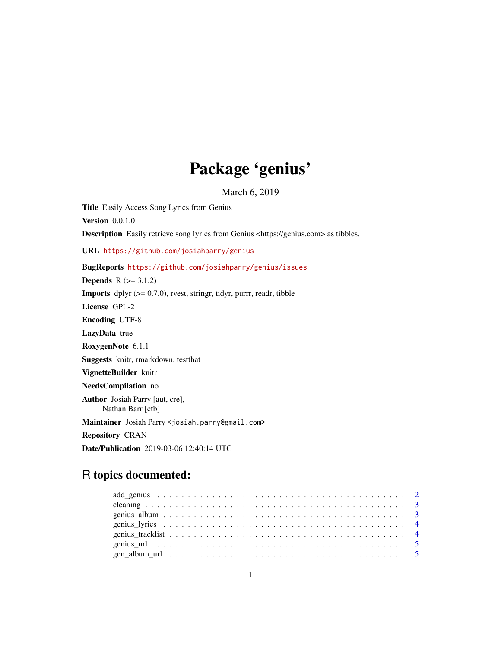# Package 'genius'

March 6, 2019

Title Easily Access Song Lyrics from Genius Version 0.0.1.0 Description Easily retrieve song lyrics from Genius <https://genius.com> as tibbles. URL <https://github.com/josiahparry/genius> BugReports <https://github.com/josiahparry/genius/issues> **Depends**  $R$  ( $>= 3.1.2$ ) **Imports** dplyr  $(>= 0.7.0)$ , rvest, stringr, tidyr, purrr, readr, tibble License GPL-2 Encoding UTF-8 LazyData true RoxygenNote 6.1.1 Suggests knitr, rmarkdown, testthat VignetteBuilder knitr NeedsCompilation no Author Josiah Parry [aut, cre], Nathan Barr [ctb] Maintainer Josiah Parry <josiah.parry@gmail.com> Repository CRAN Date/Publication 2019-03-06 12:40:14 UTC

# R topics documented: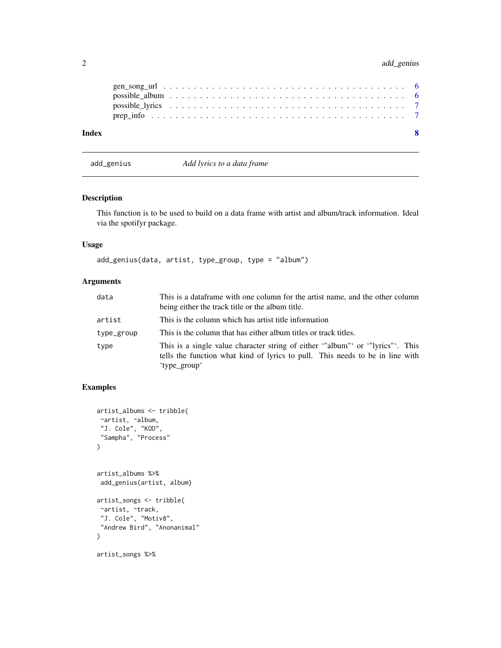# <span id="page-1-0"></span>2 add\_genius and add\_genius and add\_genius add\_genius and add\_genius and add\_genius and add\_genius and  $\alpha$

| Index |  |  |  |  |  |  |  |  |  |  |  |  |  |  |  |  |  |
|-------|--|--|--|--|--|--|--|--|--|--|--|--|--|--|--|--|--|
|       |  |  |  |  |  |  |  |  |  |  |  |  |  |  |  |  |  |
|       |  |  |  |  |  |  |  |  |  |  |  |  |  |  |  |  |  |
|       |  |  |  |  |  |  |  |  |  |  |  |  |  |  |  |  |  |
|       |  |  |  |  |  |  |  |  |  |  |  |  |  |  |  |  |  |

add\_genius *Add lyrics to a data frame*

# Description

This function is to be used to build on a data frame with artist and album/track information. Ideal via the spotifyr package.

#### Usage

```
add_genius(data, artist, type_group, type = "album")
```
## Arguments

| data       | This is a dataframe with one column for the artist name, and the other column<br>being either the track title or the album title.                                            |
|------------|------------------------------------------------------------------------------------------------------------------------------------------------------------------------------|
| artist     | This is the column which has artist title information                                                                                                                        |
| type_group | This is the column that has either album titles or track titles.                                                                                                             |
| type       | This is a single value character string of either "album" or "lyrics". This<br>tells the function what kind of lyrics to pull. This needs to be in line with<br>'type_group' |

### Examples

```
artist_albums <- tribble(
~artist, ~album,
 "J. Cole", "KOD",
 "Sampha", "Process"
)
artist_albums %>%
add_genius(artist, album)
artist_songs <- tribble(
~artist, ~track,
 "J. Cole", "Motiv8",
 "Andrew Bird", "Anonanimal"
\mathcal{L}artist_songs %>%
```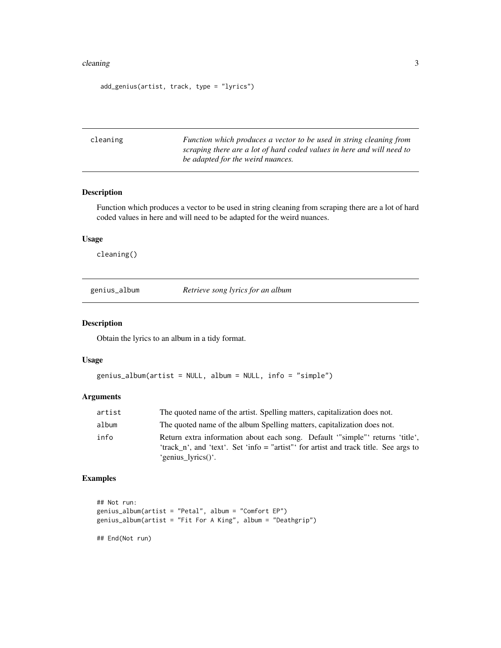#### <span id="page-2-0"></span>cleaning 3

```
add_genius(artist, track, type = "lyrics")
```

| cleaning | Function which produces a vector to be used in string cleaning from    |
|----------|------------------------------------------------------------------------|
|          | scraping there are a lot of hard coded values in here and will need to |
|          | be adapted for the weird nuances.                                      |

#### Description

Function which produces a vector to be used in string cleaning from scraping there are a lot of hard coded values in here and will need to be adapted for the weird nuances.

# Usage

cleaning()

genius\_album *Retrieve song lyrics for an album*

#### Description

Obtain the lyrics to an album in a tidy format.

#### Usage

```
genius_album(artist = NULL, album = NULL, info = "simple")
```
#### Arguments

| artist | The quoted name of the artist. Spelling matters, capitalization does not.                                                                                                                 |
|--------|-------------------------------------------------------------------------------------------------------------------------------------------------------------------------------------------|
| album  | The quoted name of the album Spelling matters, capitalization does not.                                                                                                                   |
| info   | Return extra information about each song. Default "simple" returns 'title',<br>'track n', and 'text'. Set 'info = "artist"' for artist and track title. See args to<br>'genius_lyrics()'. |

### Examples

```
## Not run:
genius_album(artist = "Petal", album = "Comfort EP")
genius_album(artist = "Fit For A King", album = "Deathgrip")
```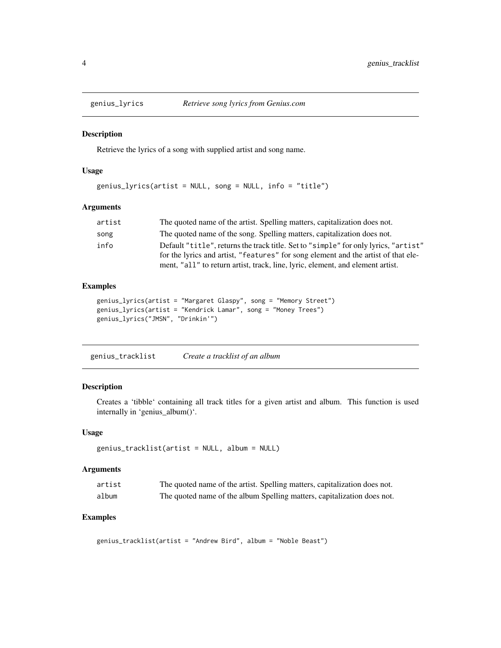<span id="page-3-0"></span>

#### Description

Retrieve the lyrics of a song with supplied artist and song name.

#### Usage

```
genius_lyrics(artist = NULL, song = NULL, info = "title")
```
#### Arguments

| artist | The quoted name of the artist. Spelling matters, capitalization does not.           |
|--------|-------------------------------------------------------------------------------------|
| song   | The quoted name of the song. Spelling matters, capitalization does not.             |
| info   | Default "title", returns the track title. Set to "simple" for only lyrics, "artist" |
|        | for the lyrics and artist, "features" for song element and the artist of that ele-  |
|        | ment, "all" to return artist, track, line, lyric, element, and element artist.      |

#### Examples

```
genius_lyrics(artist = "Margaret Glaspy", song = "Memory Street")
genius_lyrics(artist = "Kendrick Lamar", song = "Money Trees")
genius_lyrics("JMSN", "Drinkin'")
```
genius\_tracklist *Create a tracklist of an album*

#### Description

Creates a 'tibble' containing all track titles for a given artist and album. This function is used internally in 'genius\_album()'.

#### Usage

```
genius_tracklist(artist = NULL, album = NULL)
```
#### Arguments

| artist | The quoted name of the artist. Spelling matters, capitalization does not. |
|--------|---------------------------------------------------------------------------|
| album  | The quoted name of the album Spelling matters, capitalization does not.   |

## Examples

genius\_tracklist(artist = "Andrew Bird", album = "Noble Beast")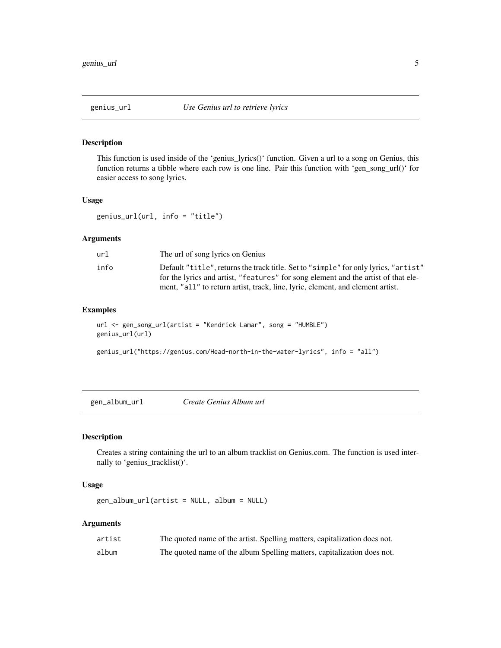<span id="page-4-0"></span>

#### Description

This function is used inside of the 'genius\_lyrics()' function. Given a url to a song on Genius, this function returns a tibble where each row is one line. Pair this function with 'gen\_song\_url()' for easier access to song lyrics.

#### Usage

genius\_url(url, info = "title")

#### Arguments

| url  | The url of song lyrics on Genius                                                    |
|------|-------------------------------------------------------------------------------------|
| info | Default "title", returns the track title. Set to "simple" for only lyrics, "artist" |
|      | for the lyrics and artist, "features" for song element and the artist of that ele-  |
|      | ment, "all" to return artist, track, line, lyric, element, and element artist.      |

#### Examples

```
url <- gen_song_url(artist = "Kendrick Lamar", song = "HUMBLE")
genius_url(url)
```

```
genius_url("https://genius.com/Head-north-in-the-water-lyrics", info = "all")
```
gen\_album\_url *Create Genius Album url*

#### Description

Creates a string containing the url to an album tracklist on Genius.com. The function is used internally to 'genius\_tracklist()'.

#### Usage

```
gen_album_url(artist = NULL, album = NULL)
```
#### Arguments

| artist | The quoted name of the artist. Spelling matters, capitalization does not. |
|--------|---------------------------------------------------------------------------|
| album  | The quoted name of the album Spelling matters, capitalization does not.   |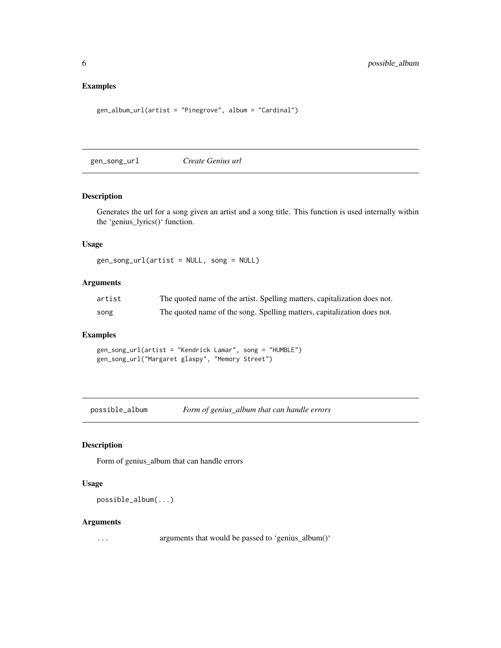#### <span id="page-5-0"></span>Examples

```
gen_album_url(artist = "Pinegrove", album = "Cardinal")
```
gen\_song\_url *Create Genius url*

#### Description

Generates the url for a song given an artist and a song title. This function is used internally within the 'genius\_lyrics()' function.

#### Usage

gen\_song\_url(artist = NULL, song = NULL)

#### Arguments

| artist | The quoted name of the artist. Spelling matters, capitalization does not. |  |  |
|--------|---------------------------------------------------------------------------|--|--|
| song   | The quoted name of the song. Spelling matters, capitalization does not.   |  |  |

#### Examples

gen\_song\_url(artist = "Kendrick Lamar", song = "HUMBLE") gen\_song\_url("Margaret glaspy", "Memory Street")

possible\_album *Form of genius\_album that can handle errors*

#### Description

Form of genius\_album that can handle errors

#### Usage

possible\_album(...)

#### Arguments

... arguments that would be passed to 'genius\_album()'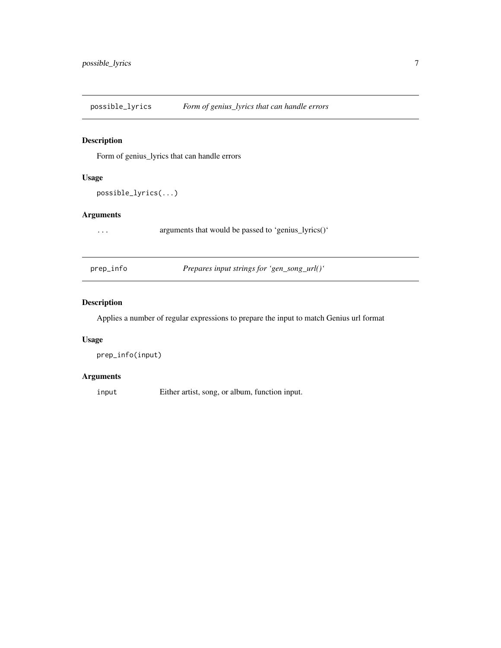<span id="page-6-0"></span>possible\_lyrics *Form of genius\_lyrics that can handle errors*

#### Description

Form of genius\_lyrics that can handle errors

#### Usage

```
possible_lyrics(...)
```
#### Arguments

... arguments that would be passed to 'genius\_lyrics()'

| prep_info |  |  |
|-----------|--|--|
|           |  |  |

prep\_info *Prepares input strings for 'gen\_song\_url()'*

# Description

Applies a number of regular expressions to prepare the input to match Genius url format

#### Usage

```
prep_info(input)
```
#### Arguments

input Either artist, song, or album, function input.